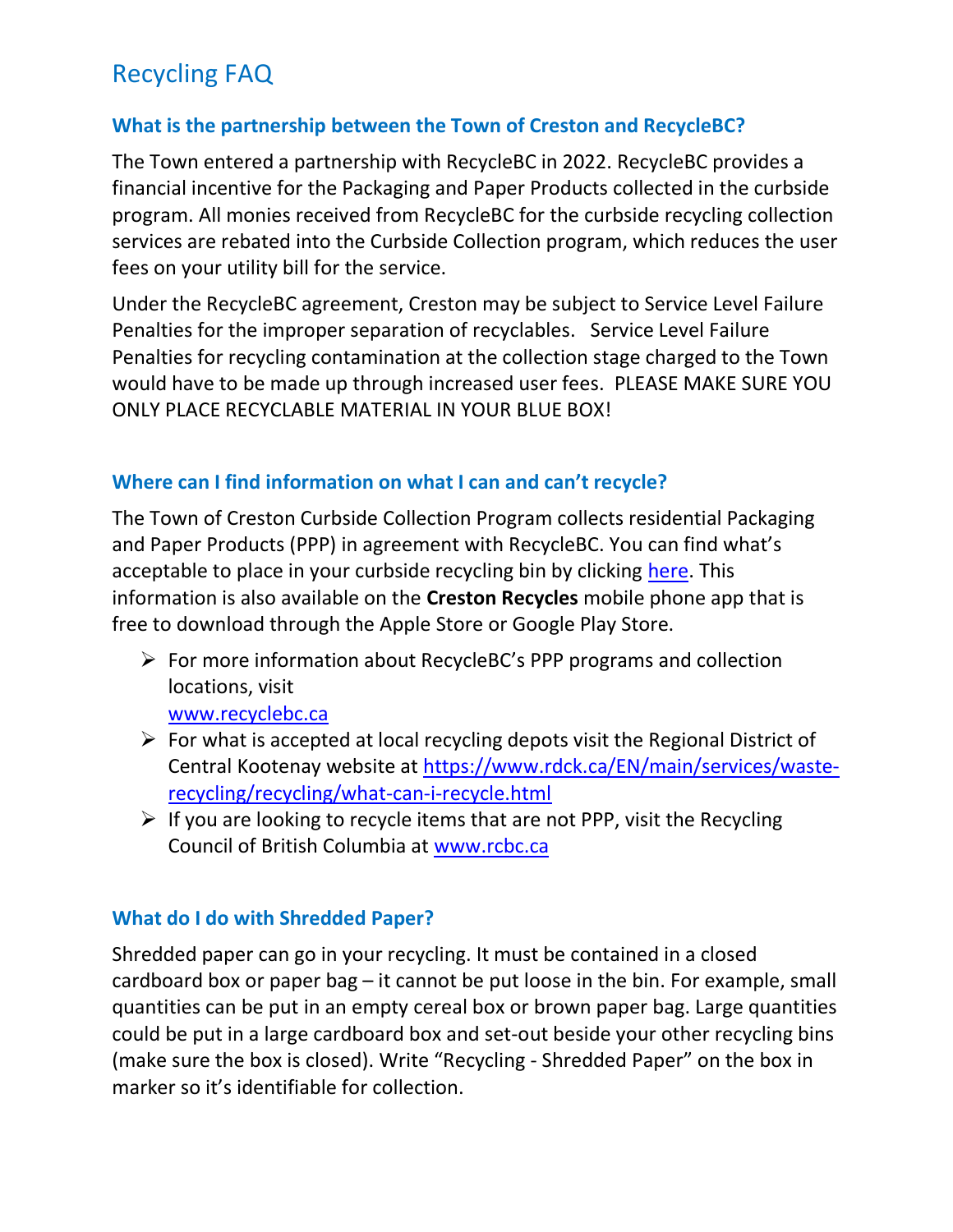#### What is the partnership between the Town of Creston and RecycleBC?

The Town entered a partnership with RecycleBC in 2022. RecycleBC provides a financial incentive for the Packaging and Paper Products collected in the curbside program. All monies received from RecycleBC for the curbside recycling collection services are rebated into the Curbside Collection program, which reduces the user fees on your utility bill for the service.

Under the RecycleBC agreement, Creston may be subject to Service Level Failure Penalties for the improper separation of recyclables. Service Level Failure Penalties for recycling contamination at the collection stage charged to the Town would have to be made up through increased user fees. PLEASE MAKE SURE YOU ONLY PLACE RECYCLABLE MATERIAL IN YOUR BLUE BOX!

#### Where can I find information on what I can and can't recycle?

The Town of Creston Curbside Collection Program collects residential Packaging and Paper Products (PPP) in agreement with RecycleBC. You can find what's acceptable to place in your curbside recycling bin by clicking here. This information is also available on the **Creston Recycles** mobile phone app that is free to download through the Apple Store or Google Play Store.

 $\triangleright$  For more information about RecycleBC's PPP programs and collection locations, visit

www.recyclebc.ca

- $\triangleright$  For what is accepted at local recycling depots visit the Regional District of Central Kootenay website at https://www.rdck.ca/EN/main/services/wasterecycling/recycling/what-can-i-recycle.html
- $\triangleright$  If you are looking to recycle items that are not PPP, visit the Recycling Council of British Columbia at www.rcbc.ca

### What do I do with Shredded Paper?

Shredded paper can go in your recycling. It must be contained in a closed cardboard box or paper bag – it cannot be put loose in the bin. For example, small quantities can be put in an empty cereal box or brown paper bag. Large quantities could be put in a large cardboard box and set-out beside your other recycling bins (make sure the box is closed). Write "Recycling - Shredded Paper" on the box in marker so it's identifiable for collection.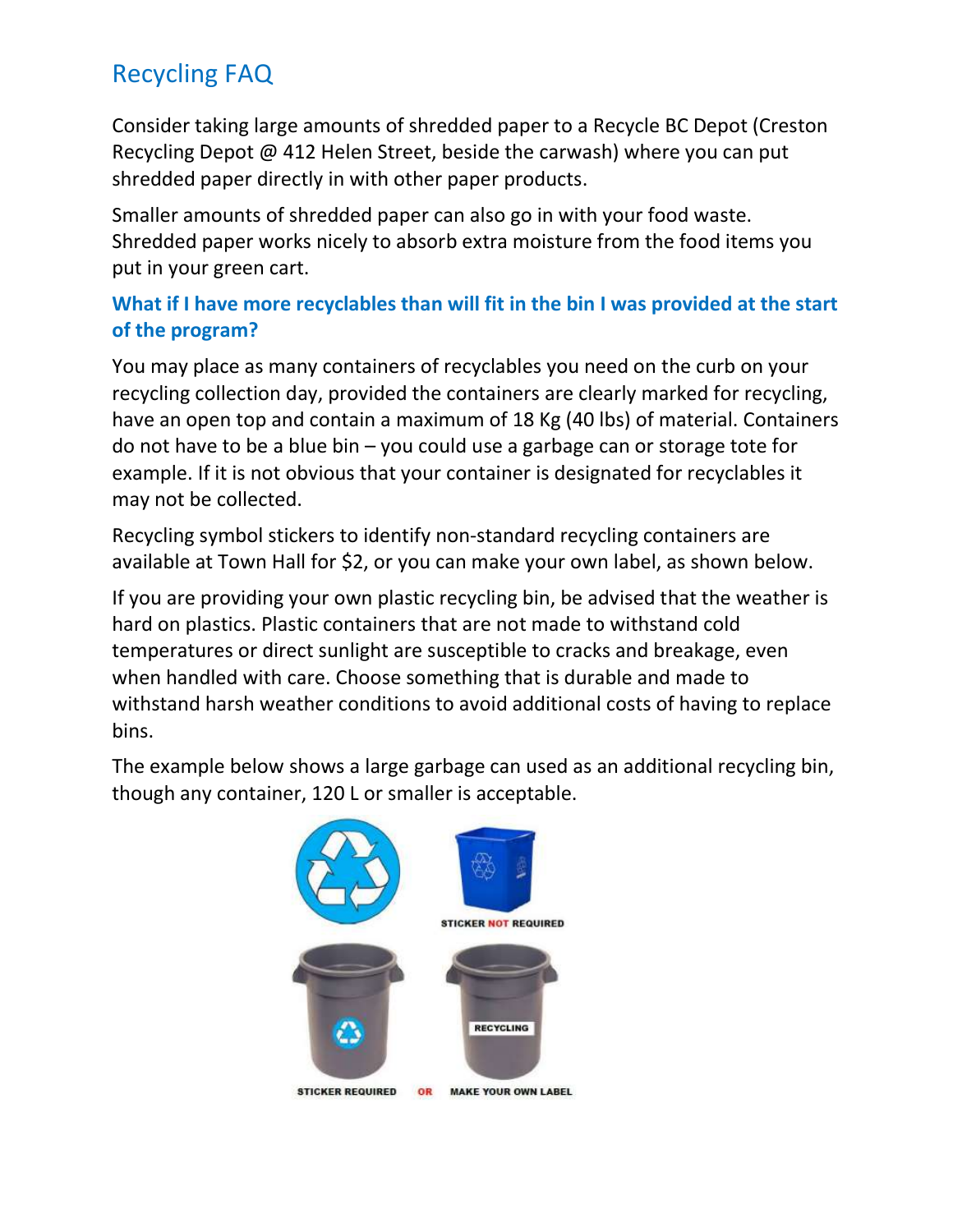Consider taking large amounts of shredded paper to a Recycle BC Depot (Creston Recycling Depot @ 412 Helen Street, beside the carwash) where you can put shredded paper directly in with other paper products.

Smaller amounts of shredded paper can also go in with your food waste. Shredded paper works nicely to absorb extra moisture from the food items you put in your green cart.

## What if I have more recyclables than will fit in the bin I was provided at the start of the program?

You may place as many containers of recyclables you need on the curb on your recycling collection day, provided the containers are clearly marked for recycling, have an open top and contain a maximum of 18 Kg (40 lbs) of material. Containers do not have to be a blue bin – you could use a garbage can or storage tote for example. If it is not obvious that your container is designated for recyclables it may not be collected.

Recycling symbol stickers to identify non-standard recycling containers are available at Town Hall for \$2, or you can make your own label, as shown below.

If you are providing your own plastic recycling bin, be advised that the weather is hard on plastics. Plastic containers that are not made to withstand cold temperatures or direct sunlight are susceptible to cracks and breakage, even when handled with care. Choose something that is durable and made to withstand harsh weather conditions to avoid additional costs of having to replace bins.

The example below shows a large garbage can used as an additional recycling bin, though any container, 120 L or smaller is acceptable.

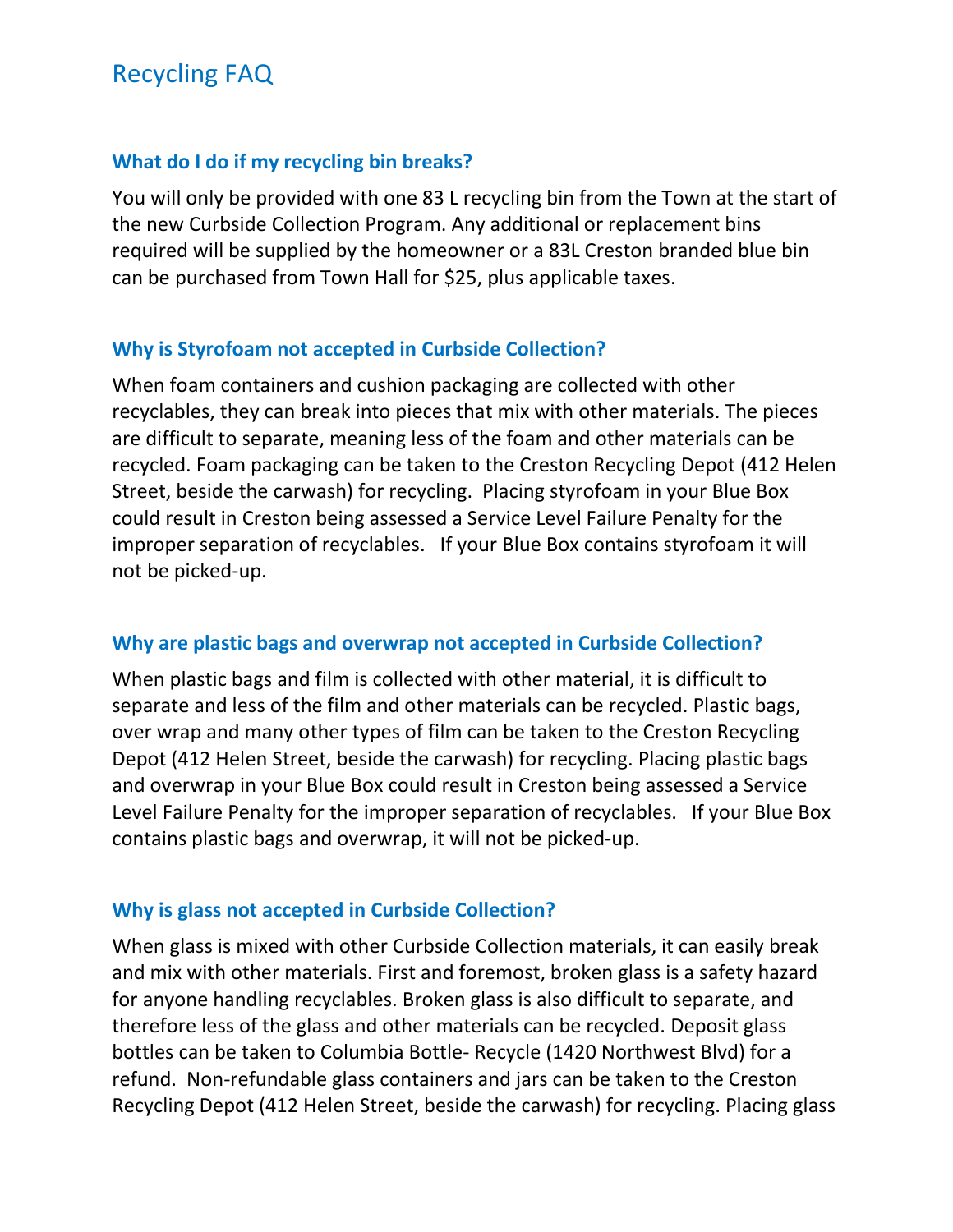### What do I do if my recycling bin breaks?

You will only be provided with one 83 L recycling bin from the Town at the start of the new Curbside Collection Program. Any additional or replacement bins required will be supplied by the homeowner or a 83L Creston branded blue bin can be purchased from Town Hall for \$25, plus applicable taxes.

### Why is Styrofoam not accepted in Curbside Collection?

When foam containers and cushion packaging are collected with other recyclables, they can break into pieces that mix with other materials. The pieces are difficult to separate, meaning less of the foam and other materials can be recycled. Foam packaging can be taken to the Creston Recycling Depot (412 Helen Street, beside the carwash) for recycling. Placing styrofoam in your Blue Box could result in Creston being assessed a Service Level Failure Penalty for the improper separation of recyclables. If your Blue Box contains styrofoam it will not be picked-up.

#### Why are plastic bags and overwrap not accepted in Curbside Collection?

When plastic bags and film is collected with other material, it is difficult to separate and less of the film and other materials can be recycled. Plastic bags, over wrap and many other types of film can be taken to the Creston Recycling Depot (412 Helen Street, beside the carwash) for recycling. Placing plastic bags and overwrap in your Blue Box could result in Creston being assessed a Service Level Failure Penalty for the improper separation of recyclables. If your Blue Box contains plastic bags and overwrap, it will not be picked-up.

#### Why is glass not accepted in Curbside Collection?

When glass is mixed with other Curbside Collection materials, it can easily break and mix with other materials. First and foremost, broken glass is a safety hazard for anyone handling recyclables. Broken glass is also difficult to separate, and therefore less of the glass and other materials can be recycled. Deposit glass bottles can be taken to Columbia Bottle- Recycle (1420 Northwest Blvd) for a refund. Non-refundable glass containers and jars can be taken to the Creston Recycling Depot (412 Helen Street, beside the carwash) for recycling. Placing glass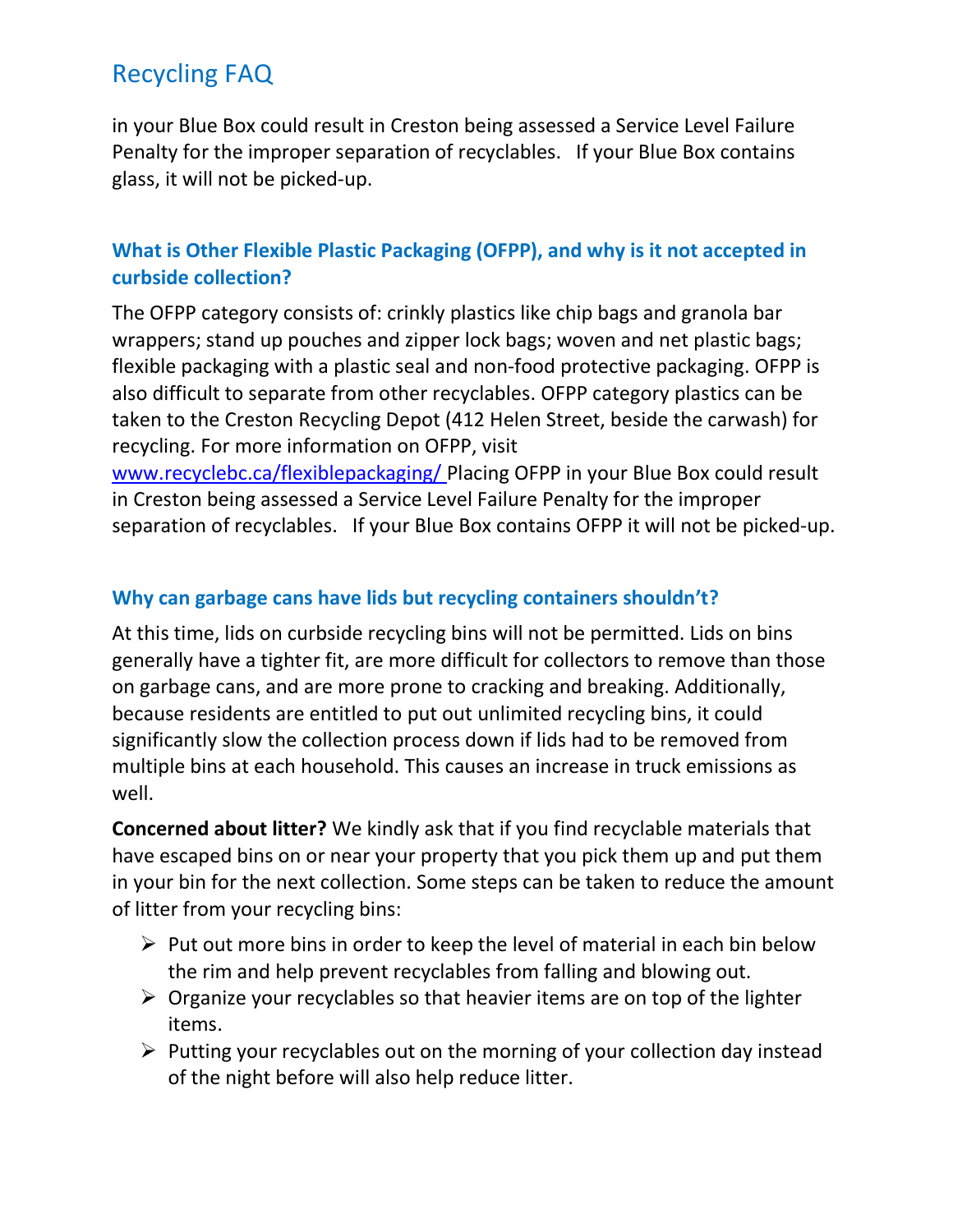in your Blue Box could result in Creston being assessed a Service Level Failure Penalty for the improper separation of recyclables. If your Blue Box contains glass, it will not be picked-up.

## What is Other Flexible Plastic Packaging (OFPP), and why is it not accepted in curbside collection?

The OFPP category consists of: crinkly plastics like chip bags and granola bar wrappers; stand up pouches and zipper lock bags; woven and net plastic bags; flexible packaging with a plastic seal and non-food protective packaging. OFPP is also difficult to separate from other recyclables. OFPP category plastics can be taken to the Creston Recycling Depot (412 Helen Street, beside the carwash) for recycling. For more information on OFPP, visit

www.recyclebc.ca/flexiblepackaging/ Placing OFPP in your Blue Box could result in Creston being assessed a Service Level Failure Penalty for the improper separation of recyclables. If your Blue Box contains OFPP it will not be picked-up.

## Why can garbage cans have lids but recycling containers shouldn't?

At this time, lids on curbside recycling bins will not be permitted. Lids on bins generally have a tighter fit, are more difficult for collectors to remove than those on garbage cans, and are more prone to cracking and breaking. Additionally, because residents are entitled to put out unlimited recycling bins, it could significantly slow the collection process down if lids had to be removed from multiple bins at each household. This causes an increase in truck emissions as well.

Concerned about litter? We kindly ask that if you find recyclable materials that have escaped bins on or near your property that you pick them up and put them in your bin for the next collection. Some steps can be taken to reduce the amount of litter from your recycling bins:

- $\triangleright$  Put out more bins in order to keep the level of material in each bin below the rim and help prevent recyclables from falling and blowing out.
- $\triangleright$  Organize your recyclables so that heavier items are on top of the lighter items.
- $\triangleright$  Putting your recyclables out on the morning of your collection day instead of the night before will also help reduce litter.